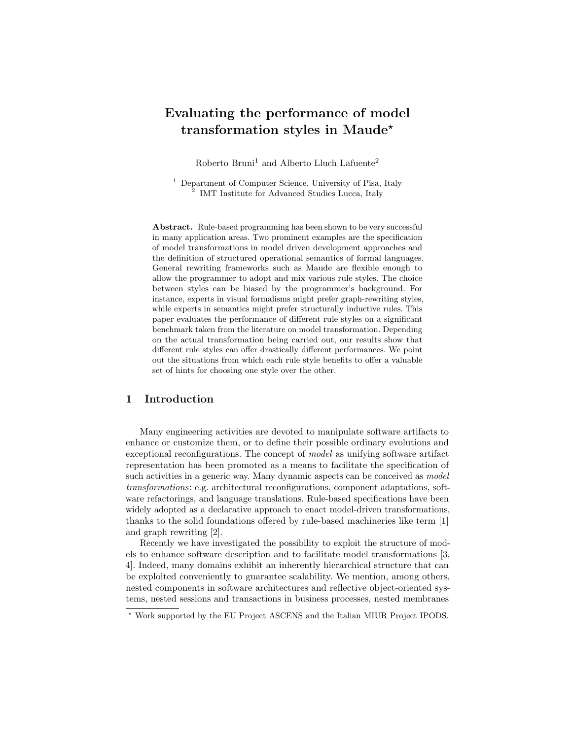# Evaluating the performance of model transformation styles in Maude?

Roberto Bruni<sup>1</sup> and Alberto Lluch Lafuente<sup>2</sup>

<sup>1</sup> Department of Computer Science, University of Pisa, Italy 2 IMT Institute for Advanced Studies Lucca, Italy

Abstract. Rule-based programming has been shown to be very successful in many application areas. Two prominent examples are the specification of model transformations in model driven development approaches and the definition of structured operational semantics of formal languages. General rewriting frameworks such as Maude are flexible enough to allow the programmer to adopt and mix various rule styles. The choice between styles can be biased by the programmer's background. For instance, experts in visual formalisms might prefer graph-rewriting styles, while experts in semantics might prefer structurally inductive rules. This paper evaluates the performance of different rule styles on a significant benchmark taken from the literature on model transformation. Depending on the actual transformation being carried out, our results show that different rule styles can offer drastically different performances. We point out the situations from which each rule style benefits to offer a valuable set of hints for choosing one style over the other.

# 1 Introduction

Many engineering activities are devoted to manipulate software artifacts to enhance or customize them, or to define their possible ordinary evolutions and exceptional reconfigurations. The concept of model as unifying software artifact representation has been promoted as a means to facilitate the specification of such activities in a generic way. Many dynamic aspects can be conceived as *model* transformations: e.g. architectural reconfigurations, component adaptations, software refactorings, and language translations. Rule-based specifications have been widely adopted as a declarative approach to enact model-driven transformations, thanks to the solid foundations offered by rule-based machineries like term [1] and graph rewriting [2].

Recently we have investigated the possibility to exploit the structure of models to enhance software description and to facilitate model transformations [3, 4]. Indeed, many domains exhibit an inherently hierarchical structure that can be exploited conveniently to guarantee scalability. We mention, among others, nested components in software architectures and reflective object-oriented systems, nested sessions and transactions in business processes, nested membranes

<sup>?</sup> Work supported by the EU Project ASCENS and the Italian MIUR Project IPODS.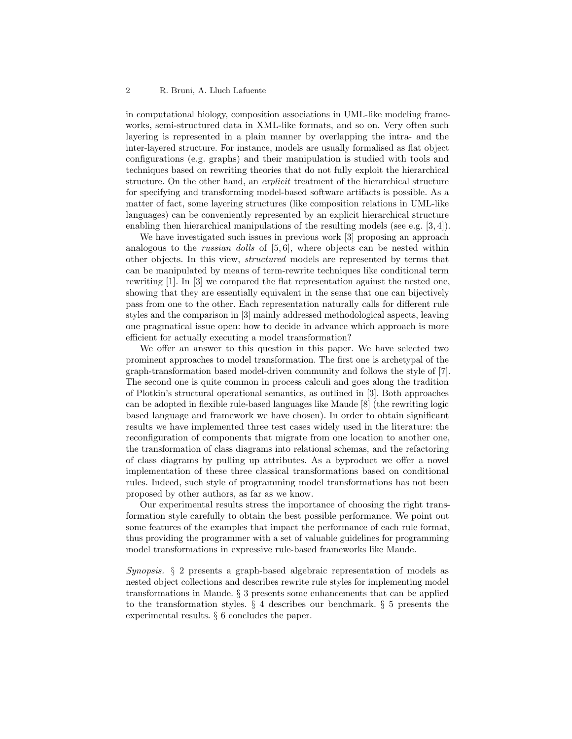in computational biology, composition associations in UML-like modeling frameworks, semi-structured data in XML-like formats, and so on. Very often such layering is represented in a plain manner by overlapping the intra- and the inter-layered structure. For instance, models are usually formalised as flat object configurations (e.g. graphs) and their manipulation is studied with tools and techniques based on rewriting theories that do not fully exploit the hierarchical structure. On the other hand, an *explicit* treatment of the hierarchical structure for specifying and transforming model-based software artifacts is possible. As a matter of fact, some layering structures (like composition relations in UML-like languages) can be conveniently represented by an explicit hierarchical structure enabling then hierarchical manipulations of the resulting models (see e.g. [3, 4]).

We have investigated such issues in previous work [3] proposing an approach analogous to the *russian dolls* of  $[5, 6]$ , where objects can be nested within other objects. In this view, structured models are represented by terms that can be manipulated by means of term-rewrite techniques like conditional term rewriting [1]. In [3] we compared the flat representation against the nested one, showing that they are essentially equivalent in the sense that one can bijectively pass from one to the other. Each representation naturally calls for different rule styles and the comparison in [3] mainly addressed methodological aspects, leaving one pragmatical issue open: how to decide in advance which approach is more efficient for actually executing a model transformation?

We offer an answer to this question in this paper. We have selected two prominent approaches to model transformation. The first one is archetypal of the graph-transformation based model-driven community and follows the style of [7]. The second one is quite common in process calculi and goes along the tradition of Plotkin's structural operational semantics, as outlined in [3]. Both approaches can be adopted in flexible rule-based languages like Maude [8] (the rewriting logic based language and framework we have chosen). In order to obtain significant results we have implemented three test cases widely used in the literature: the reconfiguration of components that migrate from one location to another one, the transformation of class diagrams into relational schemas, and the refactoring of class diagrams by pulling up attributes. As a byproduct we offer a novel implementation of these three classical transformations based on conditional rules. Indeed, such style of programming model transformations has not been proposed by other authors, as far as we know.

Our experimental results stress the importance of choosing the right transformation style carefully to obtain the best possible performance. We point out some features of the examples that impact the performance of each rule format, thus providing the programmer with a set of valuable guidelines for programming model transformations in expressive rule-based frameworks like Maude.

Synopsis. § 2 presents a graph-based algebraic representation of models as nested object collections and describes rewrite rule styles for implementing model transformations in Maude. § 3 presents some enhancements that can be applied to the transformation styles. § 4 describes our benchmark. § 5 presents the experimental results. § 6 concludes the paper.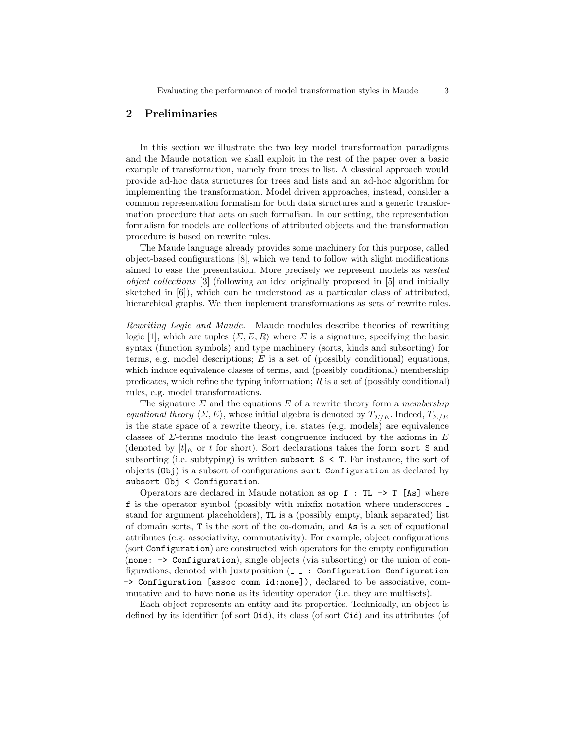# 2 Preliminaries

In this section we illustrate the two key model transformation paradigms and the Maude notation we shall exploit in the rest of the paper over a basic example of transformation, namely from trees to list. A classical approach would provide ad-hoc data structures for trees and lists and an ad-hoc algorithm for implementing the transformation. Model driven approaches, instead, consider a common representation formalism for both data structures and a generic transformation procedure that acts on such formalism. In our setting, the representation formalism for models are collections of attributed objects and the transformation procedure is based on rewrite rules.

The Maude language already provides some machinery for this purpose, called object-based configurations [8], which we tend to follow with slight modifications aimed to ease the presentation. More precisely we represent models as nested object collections [3] (following an idea originally proposed in [5] and initially sketched in [6]), which can be understood as a particular class of attributed, hierarchical graphs. We then implement transformations as sets of rewrite rules.

Rewriting Logic and Maude. Maude modules describe theories of rewriting logic [1], which are tuples  $\langle \Sigma, E, R \rangle$  where  $\Sigma$  is a signature, specifying the basic syntax (function symbols) and type machinery (sorts, kinds and subsorting) for terms, e.g. model descriptions;  $E$  is a set of (possibly conditional) equations, which induce equivalence classes of terms, and (possibly conditional) membership predicates, which refine the typing information;  $R$  is a set of (possibly conditional) rules, e.g. model transformations.

The signature  $\Sigma$  and the equations E of a rewrite theory form a *membership* equational theory  $\langle \Sigma, E \rangle$ , whose initial algebra is denoted by  $T_{\Sigma/E}$ . Indeed,  $T_{\Sigma/E}$ is the state space of a rewrite theory, i.e. states (e.g. models) are equivalence classes of  $\Sigma$ -terms modulo the least congruence induced by the axioms in E (denoted by  $[t]_E$  or t for short). Sort declarations takes the form sort S and subsorting (i.e. subtyping) is written subsort  $S < T$ . For instance, the sort of objects (Obj) is a subsort of configurations sort Configuration as declared by subsort Obj < Configuration.

Operators are declared in Maude notation as  $op f : TL \rightarrow T$  [As] where f is the operator symbol (possibly with mixfix notation where underscores  $\overline{\phantom{a}}$ stand for argument placeholders), TL is a (possibly empty, blank separated) list of domain sorts, T is the sort of the co-domain, and As is a set of equational attributes (e.g. associativity, commutativity). For example, object configurations (sort Configuration) are constructed with operators for the empty configuration (none: -> Configuration), single objects (via subsorting) or the union of configurations, denoted with juxtaposition  $($   $\Box$   $\Box$  Configuration Configuration -> Configuration [assoc comm id:none]), declared to be associative, commutative and to have none as its identity operator (i.e. they are multisets).

Each object represents an entity and its properties. Technically, an object is defined by its identifier (of sort Oid), its class (of sort Cid) and its attributes (of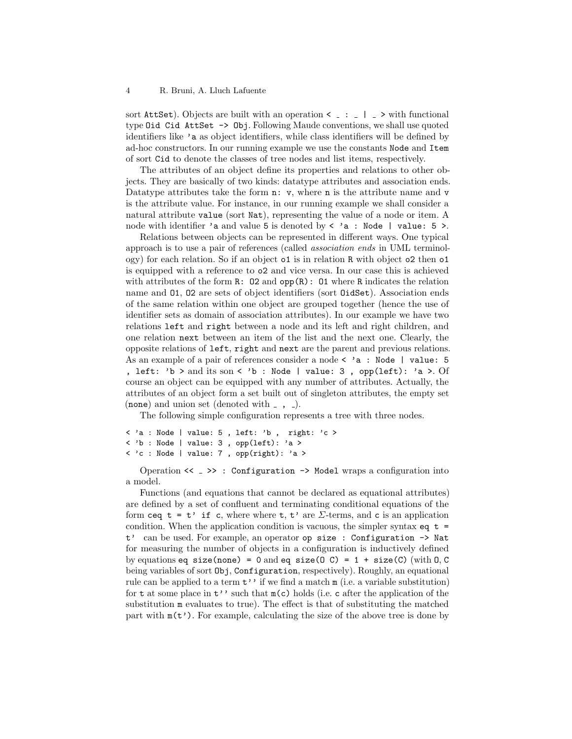#### 4 R. Bruni, A. Lluch Lafuente

sort AttSet). Objects are built with an operation  $\leq$   $\leq$   $\leq$   $\leq$   $\geq$  with functional type Oid Cid AttSet -> Obj. Following Maude conventions, we shall use quoted identifiers like 'a as object identifiers, while class identifiers will be defined by ad-hoc constructors. In our running example we use the constants Node and Item of sort Cid to denote the classes of tree nodes and list items, respectively.

The attributes of an object define its properties and relations to other objects. They are basically of two kinds: datatype attributes and association ends. Datatype attributes take the form  $n: v$ , where  $n$  is the attribute name and  $v$ is the attribute value. For instance, in our running example we shall consider a natural attribute value (sort Nat), representing the value of a node or item. A node with identifier 'a and value 5 is denoted by  $\langle$  'a : Node | value: 5 >.

Relations between objects can be represented in different ways. One typical approach is to use a pair of references (called association ends in UML terminology) for each relation. So if an object o1 is in relation R with object o2 then o1 is equipped with a reference to o2 and vice versa. In our case this is achieved with attributes of the form  $R: 02$  and  $opp(R): 01$  where R indicates the relation name and O1, O2 are sets of object identifiers (sort OidSet). Association ends of the same relation within one object are grouped together (hence the use of identifier sets as domain of association attributes). In our example we have two relations left and right between a node and its left and right children, and one relation next between an item of the list and the next one. Clearly, the opposite relations of left, right and next are the parent and previous relations. As an example of a pair of references consider a node < 'a : Node | value: 5 , left: 'b > and its son < 'b : Node | value: 3, opp(left): 'a >. Of course an object can be equipped with any number of attributes. Actually, the attributes of an object form a set built out of singleton attributes, the empty set (none) and union set (denoted with  $\overline{\phantom{a}}$ ,  $\overline{\phantom{a}}$ ).

The following simple configuration represents a tree with three nodes.

< 'a : Node | value: 5 , left: 'b , right: 'c > < 'b : Node | value: 3 , opp(left): 'a > < 'c : Node | value: 7 , opp(right): 'a >

Operation << >> : Configuration -> Model wraps a configuration into a model.

Functions (and equations that cannot be declared as equational attributes) are defined by a set of confluent and terminating conditional equations of the form ceq  $t = t'$  if c, where where  $t, t'$  are  $\Sigma$ -terms, and c is an application condition. When the application condition is vacuous, the simpler syntax  $eq \tau$ t' can be used. For example, an operator op size : Configuration -> Nat for measuring the number of objects in a configuration is inductively defined by equations eq size(none) = 0 and eq size(0 C) =  $1 + size(C)$  (with 0, C being variables of sort Obj, Configuration, respectively). Roughly, an equational rule can be applied to a term  $t'$  if we find a match  $m$  (i.e. a variable substitution) for **t** at some place in **t**'' such that  $m(c)$  holds (i.e. c after the application of the substitution m evaluates to true). The effect is that of substituting the matched part with  $m(t')$ . For example, calculating the size of the above tree is done by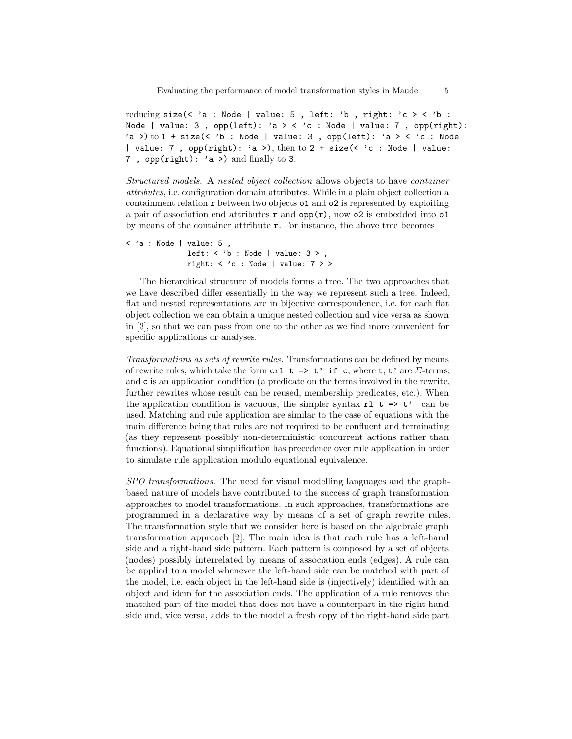reducing size(< 'a : Node | value: 5, left: 'b, right: 'c > < 'b : Node | value: 3, opp(left): 'a > < 'c : Node | value: 7, opp(right): 'a >) to 1 + size(< 'b : Node | value: 3, opp(left): 'a > < 'c : Node | value: 7 , opp(right): 'a >), then to 2 + size(< 'c : Node | value: 7 , opp(right): 'a >) and finally to 3.

Structured models. A nested object collection allows objects to have container attributes, i.e. configuration domain attributes. While in a plain object collection a containment relation  $\bf{r}$  between two objects of and o2 is represented by exploiting a pair of association end attributes r and  $opp(r)$ , now o2 is embedded into o1 by means of the container attribute r. For instance, the above tree becomes

```
< 'a : Node | value: 5 ,
               left: \langle 'b : Node | value: 3 >,
               right: \langle 'c : Node | value: 7 > >
```
The hierarchical structure of models forms a tree. The two approaches that we have described differ essentially in the way we represent such a tree. Indeed, flat and nested representations are in bijective correspondence, i.e. for each flat object collection we can obtain a unique nested collection and vice versa as shown in [3], so that we can pass from one to the other as we find more convenient for specific applications or analyses.

Transformations as sets of rewrite rules. Transformations can be defined by means of rewrite rules, which take the form crl  $t \Rightarrow t'$  if c, where  $t, t'$  are  $\Sigma$ -terms, and c is an application condition (a predicate on the terms involved in the rewrite, further rewrites whose result can be reused, membership predicates, etc.). When the application condition is vacuous, the simpler syntax  $r1 t \rightarrow t'$  can be used. Matching and rule application are similar to the case of equations with the main difference being that rules are not required to be confluent and terminating (as they represent possibly non-deterministic concurrent actions rather than functions). Equational simplification has precedence over rule application in order to simulate rule application modulo equational equivalence.

SPO transformations. The need for visual modelling languages and the graphbased nature of models have contributed to the success of graph transformation approaches to model transformations. In such approaches, transformations are programmed in a declarative way by means of a set of graph rewrite rules. The transformation style that we consider here is based on the algebraic graph transformation approach [2]. The main idea is that each rule has a left-hand side and a right-hand side pattern. Each pattern is composed by a set of objects (nodes) possibly interrelated by means of association ends (edges). A rule can be applied to a model whenever the left-hand side can be matched with part of the model, i.e. each object in the left-hand side is (injectively) identified with an object and idem for the association ends. The application of a rule removes the matched part of the model that does not have a counterpart in the right-hand side and, vice versa, adds to the model a fresh copy of the right-hand side part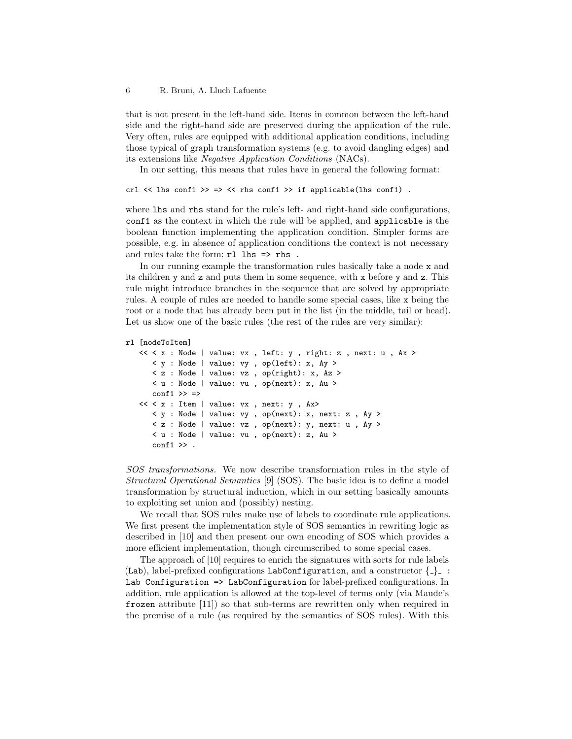that is not present in the left-hand side. Items in common between the left-hand side and the right-hand side are preserved during the application of the rule. Very often, rules are equipped with additional application conditions, including those typical of graph transformation systems (e.g. to avoid dangling edges) and its extensions like Negative Application Conditions (NACs).

In our setting, this means that rules have in general the following format:

#### crl  $\langle$  lhs conf1 >> =>  $\langle$  rhs conf1 >> if applicable(lhs conf1).

where lhs and rhs stand for the rule's left- and right-hand side configurations, conf1 as the context in which the rule will be applied, and applicable is the boolean function implementing the application condition. Simpler forms are possible, e.g. in absence of application conditions the context is not necessary and rules take the form: rl lhs => rhs .

In our running example the transformation rules basically take a node x and its children y and z and puts them in some sequence, with x before y and z. This rule might introduce branches in the sequence that are solved by appropriate rules. A couple of rules are needed to handle some special cases, like x being the root or a node that has already been put in the list (in the middle, tail or head). Let us show one of the basic rules (the rest of the rules are very similar):

```
rl [nodeToItem]
```

```
<< x : Node | value: vx , left: y , right: z , next: u , Ax >
  < y : Node | value: vy , op(left): x, Ay >
   < z : Node | value: vz , op(right): x, Az >
   < u : Node | value: vu , op(next): x, Au >
   \text{conf1} \gg \Rightarrow<< x : Item | value: vx, next: y, Ax>
  < y : Node | value: vy , op(next): x, next: z , Ay >
   < z : Node | value: vz , op(next): y, next: u , Ay >
   < u : Node | value: vu , op(next): z, Au >
   conf1 \gg.
```
SOS transformations. We now describe transformation rules in the style of Structural Operational Semantics [9] (SOS). The basic idea is to define a model transformation by structural induction, which in our setting basically amounts to exploiting set union and (possibly) nesting.

We recall that SOS rules make use of labels to coordinate rule applications. We first present the implementation style of SOS semantics in rewriting logic as described in [10] and then present our own encoding of SOS which provides a more efficient implementation, though circumscribed to some special cases.

The approach of [10] requires to enrich the signatures with sorts for rule labels (Lab), label-prefixed configurations LabConfiguration, and a constructor  $\{\cdot\}$ .: Lab Configuration => LabConfiguration for label-prefixed configurations. In addition, rule application is allowed at the top-level of terms only (via Maude's frozen attribute [11]) so that sub-terms are rewritten only when required in the premise of a rule (as required by the semantics of SOS rules). With this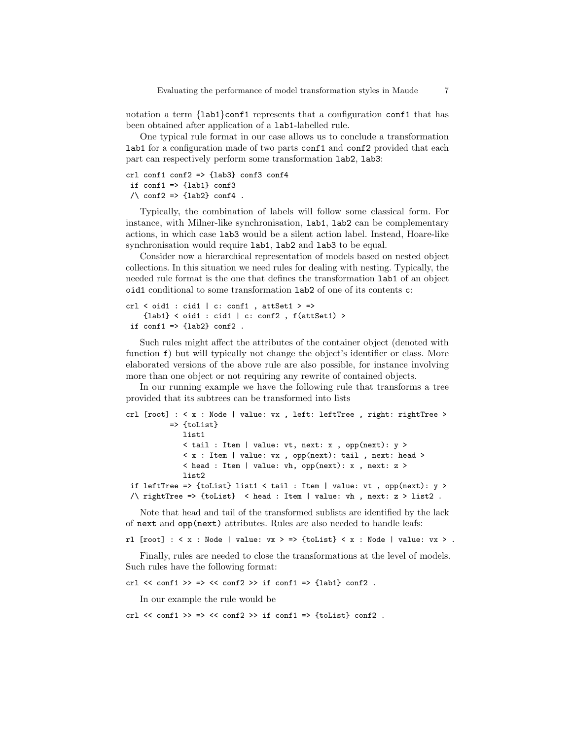notation a term {lab1}conf1 represents that a configuration conf1 that has been obtained after application of a lab1-labelled rule.

One typical rule format in our case allows us to conclude a transformation lab1 for a configuration made of two parts conf1 and conf2 provided that each part can respectively perform some transformation lab2, lab3:

```
crl conf1 conf2 => \{lab3\} conf3 conf4
 if conf1 \Rightarrow \{lab1\} conf3\land conf2 => {lab2} conf4.
```
Typically, the combination of labels will follow some classical form. For instance, with Milner-like synchronisation, lab1, lab2 can be complementary actions, in which case lab3 would be a silent action label. Instead, Hoare-like synchronisation would require lab1, lab2 and lab3 to be equal.

Consider now a hierarchical representation of models based on nested object collections. In this situation we need rules for dealing with nesting. Typically, the needed rule format is the one that defines the transformation lab1 of an object oid1 conditional to some transformation lab2 of one of its contents c:

```
crl < oid1 : cid1 | c: conf1 , attSet1 > =>
    {\text{lab1}} < oid1 : cid1 | c: conf2, f(attSet1) >
 if conf1 \Rightarrow {\text{lab2}} conf2.
```
Such rules might affect the attributes of the container object (denoted with function  $f$ ) but will typically not change the object's identifier or class. More elaborated versions of the above rule are also possible, for instance involving more than one object or not requiring any rewrite of contained objects.

In our running example we have the following rule that transforms a tree provided that its subtrees can be transformed into lists

```
crl [root] : \langle x : Node | value: vx, left: leftTree, right: rightTree >
          => {toList}
            list1
             < tail : Item | value: vt, next: x , opp(next): y >
             < x : Item | value: vx , opp(next): tail , next: head >
             < head : Item | value: vh, opp(next): x , next: z >
             list2
if leftTree => {toList} list1 < tail : Item | value: vt , opp(next): y >/\ rightTree => {toList} < head : Item | value: vh , next: z > list2 .
```
Note that head and tail of the transformed sublists are identified by the lack of next and opp(next) attributes. Rules are also needed to handle leafs:

rl [root] :  $\langle x : N$ ode | value: vx > => {toList}  $\langle x : N$ ode | value: vx > .

Finally, rules are needed to close the transformations at the level of models. Such rules have the following format:

crl  $\langle$  conf1 >> =>  $\langle$  conf2 >> if conf1 => {lab1} conf2.

In our example the rule would be

crl  $\langle$  conf1 >> =>  $\langle$  conf2 >> if conf1 => {toList} conf2.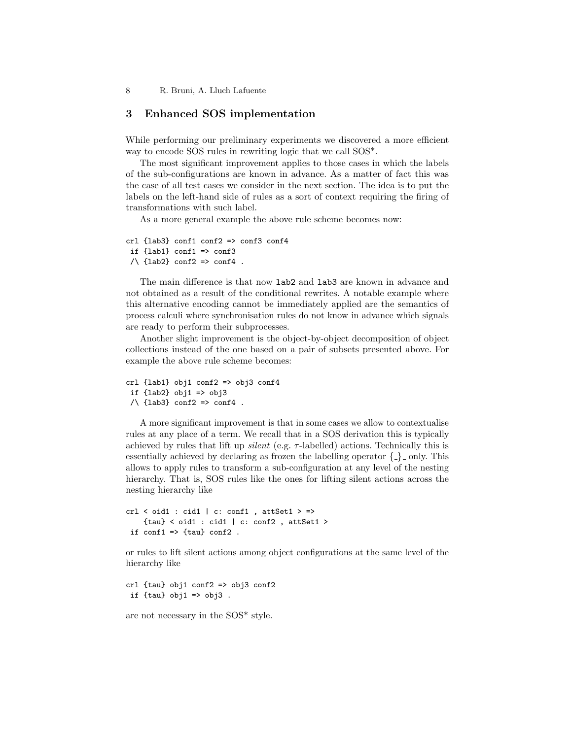8 R. Bruni, A. Lluch Lafuente

## 3 Enhanced SOS implementation

While performing our preliminary experiments we discovered a more efficient way to encode SOS rules in rewriting logic that we call SOS\*.

The most significant improvement applies to those cases in which the labels of the sub-configurations are known in advance. As a matter of fact this was the case of all test cases we consider in the next section. The idea is to put the labels on the left-hand side of rules as a sort of context requiring the firing of transformations with such label.

As a more general example the above rule scheme becomes now:

```
crl \{lab3\} conf1 conf2 => conf3 conf4
 if \{lab1\} conf1 => conf3
 \wedge {lab2} conf2 => conf4.
```
The main difference is that now lab2 and lab3 are known in advance and not obtained as a result of the conditional rewrites. A notable example where this alternative encoding cannot be immediately applied are the semantics of process calculi where synchronisation rules do not know in advance which signals are ready to perform their subprocesses.

Another slight improvement is the object-by-object decomposition of object collections instead of the one based on a pair of subsets presented above. For example the above rule scheme becomes:

```
crl \{lab1\} obj1 conf2 => obj3 conf4
 if \{lab2\} obj1 \Rightarrow obj3\wedge {lab3} conf2 => conf4.
```
A more significant improvement is that in some cases we allow to contextualise rules at any place of a term. We recall that in a SOS derivation this is typically achieved by rules that lift up *silent* (e.g.  $\tau$ -labelled) actions. Technically this is essentially achieved by declaring as frozen the labelling operator  $\{-\}$  only. This allows to apply rules to transform a sub-configuration at any level of the nesting hierarchy. That is, SOS rules like the ones for lifting silent actions across the nesting hierarchy like

```
crl < oid1 : cid1 | c: conf1 , attSet1 > =>
    \{tau\} < oid1 : cid1 | c: conf2, attSet1 >
 if conf1 \Rightarrow \{tau\} conf2.
```
or rules to lift silent actions among object configurations at the same level of the hierarchy like

```
crl {tau} obj1 conf2 => obj3 conf2
if \{tau\} obj1 => obj3.
```
are not necessary in the SOS\* style.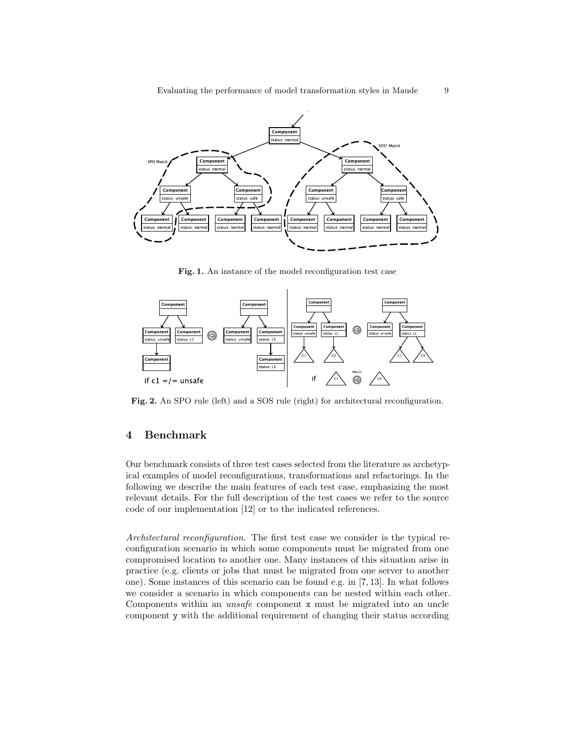

Fig. 1. An instance of the model reconfiguration test case



Fig. 2. An SPO rule (left) and a SOS rule (right) for architectural reconfiguration.

# 4 Benchmark

Our benchmark consists of three test cases selected from the literature as archetypical examples of model reconfigurations, transformations and refactorings. In the following we describe the main features of each test case, emphasizing the most relevant details. For the full description of the test cases we refer to the source code of our implementation [12] or to the indicated references.

Architectural reconfiguration. The first test case we consider is the typical reconfiguration scenario in which some components must be migrated from one compromised location to another one. Many instances of this situation arise in practice (e.g. clients or jobs that must be migrated from one server to another one). Some instances of this scenario can be found e.g. in [7, 13]. In what follows we consider a scenario in which components can be nested within each other. Components within an unsafe component x must be migrated into an uncle component y with the additional requirement of changing their status according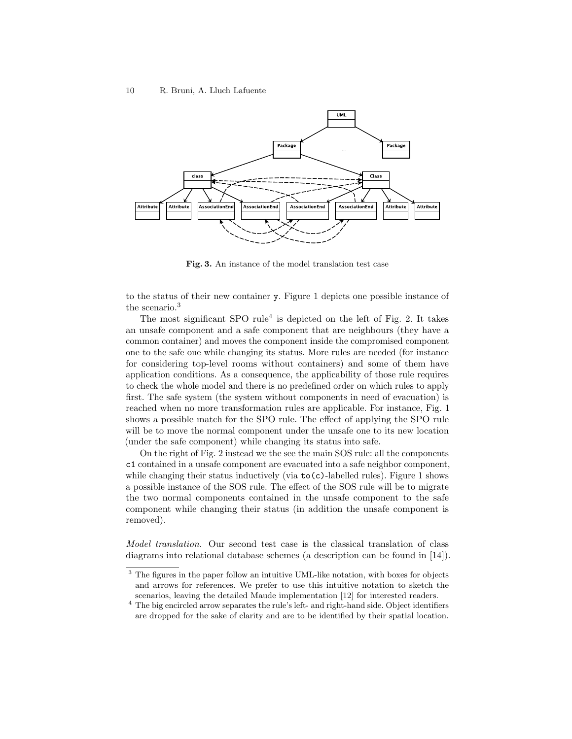

Fig. 3. An instance of the model translation test case

to the status of their new container y. Figure 1 depicts one possible instance of the scenario.<sup>3</sup>

The most significant SPO rule<sup>4</sup> is depicted on the left of Fig. 2. It takes an unsafe component and a safe component that are neighbours (they have a common container) and moves the component inside the compromised component one to the safe one while changing its status. More rules are needed (for instance for considering top-level rooms without containers) and some of them have application conditions. As a consequence, the applicability of those rule requires to check the whole model and there is no predefined order on which rules to apply first. The safe system (the system without components in need of evacuation) is reached when no more transformation rules are applicable. For instance, Fig. 1 shows a possible match for the SPO rule. The effect of applying the SPO rule will be to move the normal component under the unsafe one to its new location (under the safe component) while changing its status into safe.

On the right of Fig. 2 instead we the see the main SOS rule: all the components c1 contained in a unsafe component are evacuated into a safe neighbor component, while changing their status inductively (via  $to(c)$ -labelled rules). Figure 1 shows a possible instance of the SOS rule. The effect of the SOS rule will be to migrate the two normal components contained in the unsafe component to the safe component while changing their status (in addition the unsafe component is removed).

Model translation. Our second test case is the classical translation of class diagrams into relational database schemes (a description can be found in [14]).

<sup>&</sup>lt;sup>3</sup> The figures in the paper follow an intuitive UML-like notation, with boxes for objects and arrows for references. We prefer to use this intuitive notation to sketch the scenarios, leaving the detailed Maude implementation [12] for interested readers.

 $^4\,$  The big encircled arrow separates the rule's left- and right-hand side. Object identifiers are dropped for the sake of clarity and are to be identified by their spatial location.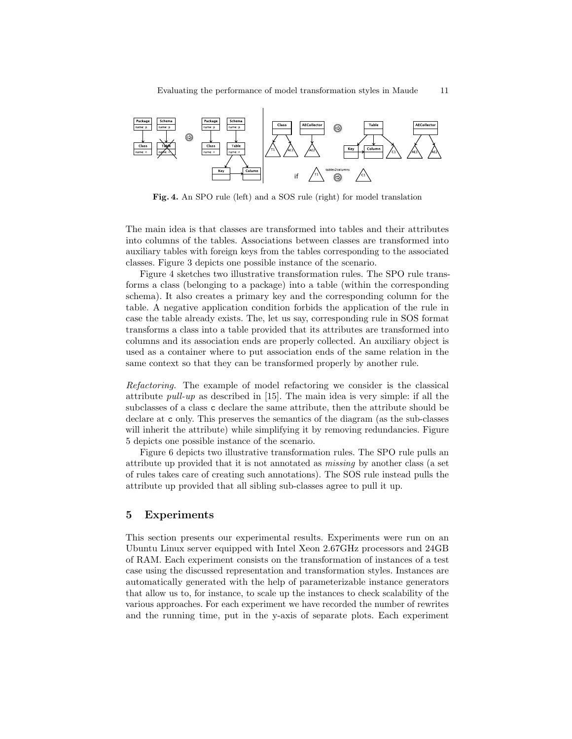

Fig. 4. An SPO rule (left) and a SOS rule (right) for model translation

The main idea is that classes are transformed into tables and their attributes into columns of the tables. Associations between classes are transformed into auxiliary tables with foreign keys from the tables corresponding to the associated classes. Figure 3 depicts one possible instance of the scenario.

Figure 4 sketches two illustrative transformation rules. The SPO rule transforms a class (belonging to a package) into a table (within the corresponding schema). It also creates a primary key and the corresponding column for the table. A negative application condition forbids the application of the rule in case the table already exists. The, let us say, corresponding rule in SOS format transforms a class into a table provided that its attributes are transformed into columns and its association ends are properly collected. An auxiliary object is used as a container where to put association ends of the same relation in the same context so that they can be transformed properly by another rule.

Refactoring. The example of model refactoring we consider is the classical attribute *pull-up* as described in  $[15]$ . The main idea is very simple: if all the subclasses of a class c declare the same attribute, then the attribute should be declare at c only. This preserves the semantics of the diagram (as the sub-classes will inherit the attribute) while simplifying it by removing redundancies. Figure 5 depicts one possible instance of the scenario.

Figure 6 depicts two illustrative transformation rules. The SPO rule pulls an attribute up provided that it is not annotated as missing by another class (a set of rules takes care of creating such annotations). The SOS rule instead pulls the attribute up provided that all sibling sub-classes agree to pull it up.

## 5 Experiments

This section presents our experimental results. Experiments were run on an Ubuntu Linux server equipped with Intel Xeon 2.67GHz processors and 24GB of RAM. Each experiment consists on the transformation of instances of a test case using the discussed representation and transformation styles. Instances are automatically generated with the help of parameterizable instance generators that allow us to, for instance, to scale up the instances to check scalability of the various approaches. For each experiment we have recorded the number of rewrites and the running time, put in the y-axis of separate plots. Each experiment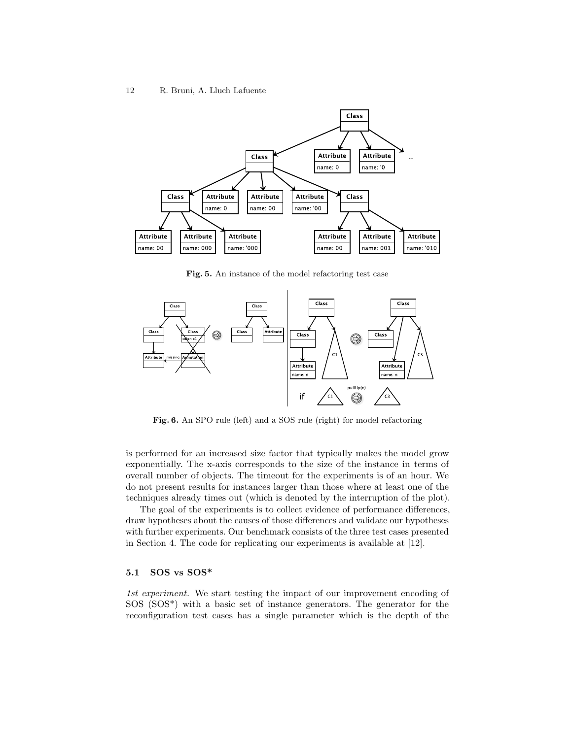

Fig. 5. An instance of the model refactoring test case



Fig. 6. An SPO rule (left) and a SOS rule (right) for model refactoring

is performed for an increased size factor that typically makes the model grow exponentially. The x-axis corresponds to the size of the instance in terms of overall number of objects. The timeout for the experiments is of an hour. We do not present results for instances larger than those where at least one of the techniques already times out (which is denoted by the interruption of the plot).

The goal of the experiments is to collect evidence of performance differences, draw hypotheses about the causes of those differences and validate our hypotheses with further experiments. Our benchmark consists of the three test cases presented in Section 4. The code for replicating our experiments is available at [12].

### 5.1 SOS vs SOS\*

1st experiment. We start testing the impact of our improvement encoding of SOS (SOS\*) with a basic set of instance generators. The generator for the reconfiguration test cases has a single parameter which is the depth of the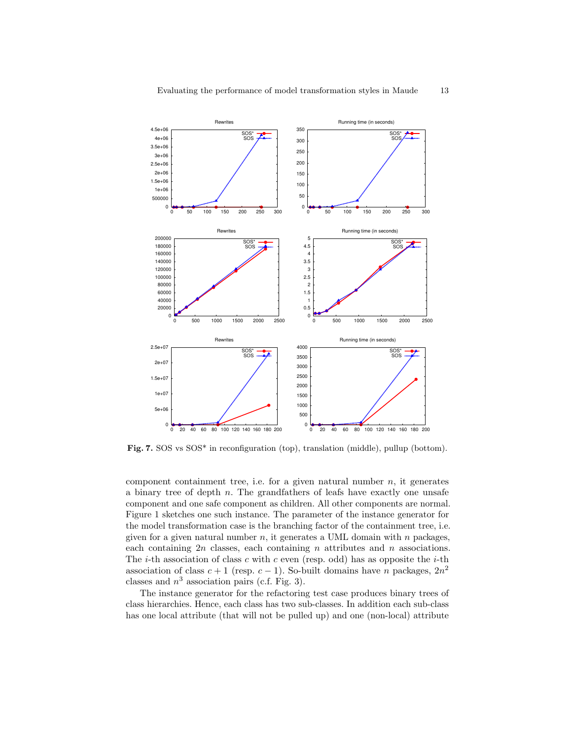



Fig. 7. SOS vs SOS\* in reconfiguration (top), translation (middle), pullup (bottom).

component containment tree, i.e. for a given natural number  $n$ , it generates a binary tree of depth  $n$ . The grandfathers of leafs have exactly one unsafe component and one safe component as children. All other components are normal. Figure 1 sketches one such instance. The parameter of the instance generator for the model transformation case is the branching factor of the containment tree, i.e. given for a given natural number  $n$ , it generates a UML domain with  $n$  packages, each containing  $2n$  classes, each containing n attributes and n associations. The *i*-th association of class c with c even (resp. odd) has as opposite the *i*-th association of class  $c + 1$  (resp.  $c - 1$ ). So-built domains have n packages,  $2n^2$ classes and  $n^3$  association pairs (c.f. Fig. 3).

The instance generator for the refactoring test case produces binary trees of class hierarchies. Hence, each class has two sub-classes. In addition each sub-class has one local attribute (that will not be pulled up) and one (non-local) attribute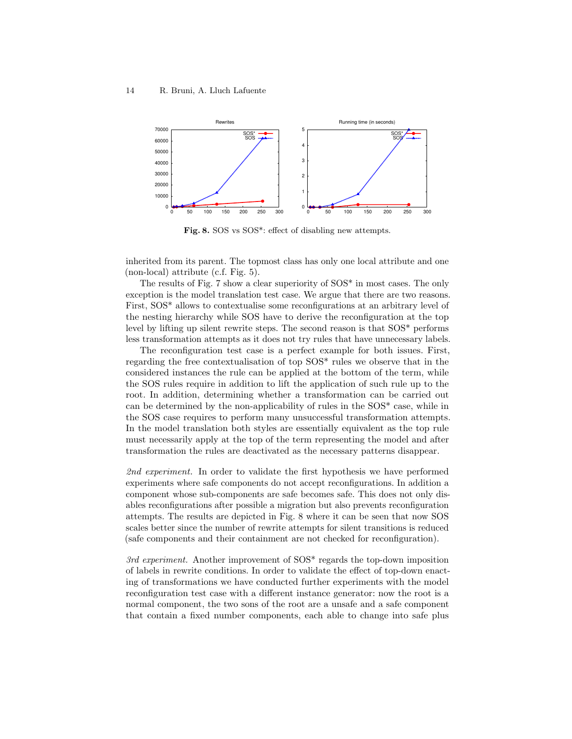#### 14 R. Bruni, A. Lluch Lafuente



Fig. 8. SOS vs SOS\*: effect of disabling new attempts.

inherited from its parent. The topmost class has only one local attribute and one (non-local) attribute (c.f. Fig. 5).

The results of Fig. 7 show a clear superiority of SOS\* in most cases. The only exception is the model translation test case. We argue that there are two reasons. First, SOS\* allows to contextualise some reconfigurations at an arbitrary level of the nesting hierarchy while SOS have to derive the reconfiguration at the top level by lifting up silent rewrite steps. The second reason is that SOS\* performs less transformation attempts as it does not try rules that have unnecessary labels.

The reconfiguration test case is a perfect example for both issues. First, regarding the free contextualisation of top SOS\* rules we observe that in the considered instances the rule can be applied at the bottom of the term, while the SOS rules require in addition to lift the application of such rule up to the root. In addition, determining whether a transformation can be carried out can be determined by the non-applicability of rules in the SOS\* case, while in the SOS case requires to perform many unsuccessful transformation attempts. In the model translation both styles are essentially equivalent as the top rule must necessarily apply at the top of the term representing the model and after transformation the rules are deactivated as the necessary patterns disappear.

2nd experiment. In order to validate the first hypothesis we have performed experiments where safe components do not accept reconfigurations. In addition a component whose sub-components are safe becomes safe. This does not only disables reconfigurations after possible a migration but also prevents reconfiguration attempts. The results are depicted in Fig. 8 where it can be seen that now SOS scales better since the number of rewrite attempts for silent transitions is reduced (safe components and their containment are not checked for reconfiguration).

3rd experiment. Another improvement of SOS\* regards the top-down imposition of labels in rewrite conditions. In order to validate the effect of top-down enacting of transformations we have conducted further experiments with the model reconfiguration test case with a different instance generator: now the root is a normal component, the two sons of the root are a unsafe and a safe component that contain a fixed number components, each able to change into safe plus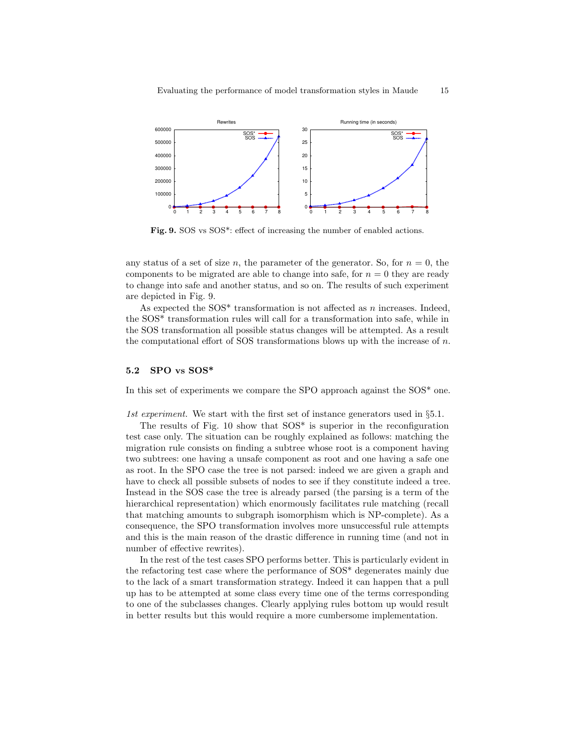

Fig. 9. SOS vs SOS\*: effect of increasing the number of enabled actions.

any status of a set of size n, the parameter of the generator. So, for  $n = 0$ , the components to be migrated are able to change into safe, for  $n = 0$  they are ready to change into safe and another status, and so on. The results of such experiment are depicted in Fig. 9.

As expected the  $SOS^*$  transformation is not affected as n increases. Indeed, the SOS\* transformation rules will call for a transformation into safe, while in the SOS transformation all possible status changes will be attempted. As a result the computational effort of SOS transformations blows up with the increase of  $n$ .

#### 5.2 SPO vs SOS\*

In this set of experiments we compare the SPO approach against the SOS\* one.

1st experiment. We start with the first set of instance generators used in §5.1.

The results of Fig. 10 show that  $SOS^*$  is superior in the reconfiguration test case only. The situation can be roughly explained as follows: matching the migration rule consists on finding a subtree whose root is a component having two subtrees: one having a unsafe component as root and one having a safe one as root. In the SPO case the tree is not parsed: indeed we are given a graph and have to check all possible subsets of nodes to see if they constitute indeed a tree. Instead in the SOS case the tree is already parsed (the parsing is a term of the hierarchical representation) which enormously facilitates rule matching (recall that matching amounts to subgraph isomorphism which is NP-complete). As a consequence, the SPO transformation involves more unsuccessful rule attempts and this is the main reason of the drastic difference in running time (and not in number of effective rewrites).

In the rest of the test cases SPO performs better. This is particularly evident in the refactoring test case where the performance of SOS\* degenerates mainly due to the lack of a smart transformation strategy. Indeed it can happen that a pull up has to be attempted at some class every time one of the terms corresponding to one of the subclasses changes. Clearly applying rules bottom up would result in better results but this would require a more cumbersome implementation.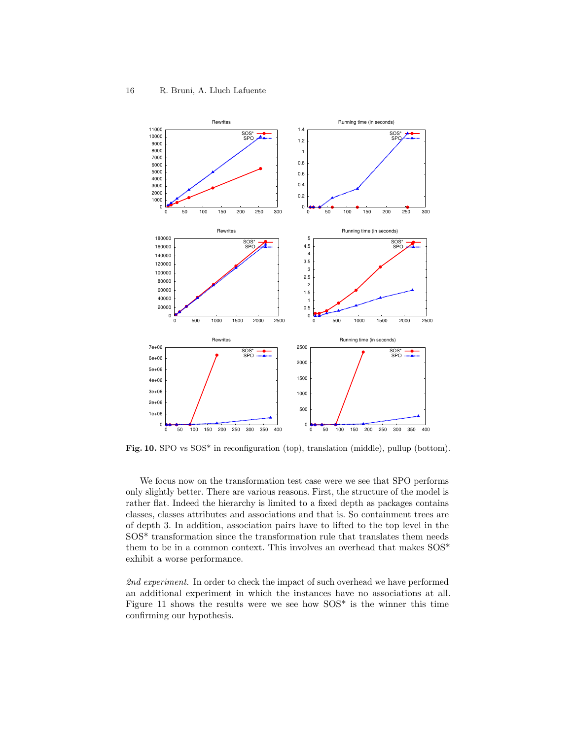

Fig. 10. SPO vs SOS\* in reconfiguration (top), translation (middle), pullup (bottom).

We focus now on the transformation test case were we see that SPO performs only slightly better. There are various reasons. First, the structure of the model is rather flat. Indeed the hierarchy is limited to a fixed depth as packages contains classes, classes attributes and associations and that is. So containment trees are of depth 3. In addition, association pairs have to lifted to the top level in the SOS\* transformation since the transformation rule that translates them needs them to be in a common context. This involves an overhead that makes SOS\* exhibit a worse performance.

2nd experiment. In order to check the impact of such overhead we have performed an additional experiment in which the instances have no associations at all. Figure 11 shows the results were we see how SOS\* is the winner this time confirming our hypothesis.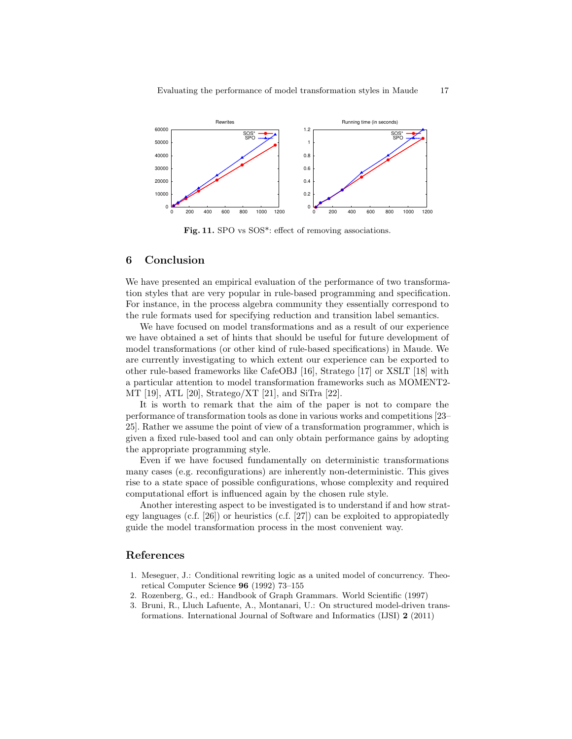

Fig. 11. SPO vs SOS\*: effect of removing associations.

### 6 Conclusion

We have presented an empirical evaluation of the performance of two transformation styles that are very popular in rule-based programming and specification. For instance, in the process algebra community they essentially correspond to the rule formats used for specifying reduction and transition label semantics.

We have focused on model transformations and as a result of our experience we have obtained a set of hints that should be useful for future development of model transformations (or other kind of rule-based specifications) in Maude. We are currently investigating to which extent our experience can be exported to other rule-based frameworks like CafeOBJ [16], Stratego [17] or XSLT [18] with a particular attention to model transformation frameworks such as MOMENT2- MT [19], ATL [20], Stratego/XT [21], and SiTra [22].

It is worth to remark that the aim of the paper is not to compare the performance of transformation tools as done in various works and competitions [23– 25]. Rather we assume the point of view of a transformation programmer, which is given a fixed rule-based tool and can only obtain performance gains by adopting the appropriate programming style.

Even if we have focused fundamentally on deterministic transformations many cases (e.g. reconfigurations) are inherently non-deterministic. This gives rise to a state space of possible configurations, whose complexity and required computational effort is influenced again by the chosen rule style.

Another interesting aspect to be investigated is to understand if and how strategy languages (c.f. [26]) or heuristics (c.f. [27]) can be exploited to appropiatedly guide the model transformation process in the most convenient way.

# References

- 1. Meseguer, J.: Conditional rewriting logic as a united model of concurrency. Theoretical Computer Science 96 (1992) 73–155
- 2. Rozenberg, G., ed.: Handbook of Graph Grammars. World Scientific (1997)
- 3. Bruni, R., Lluch Lafuente, A., Montanari, U.: On structured model-driven transformations. International Journal of Software and Informatics (IJSI) 2 (2011)